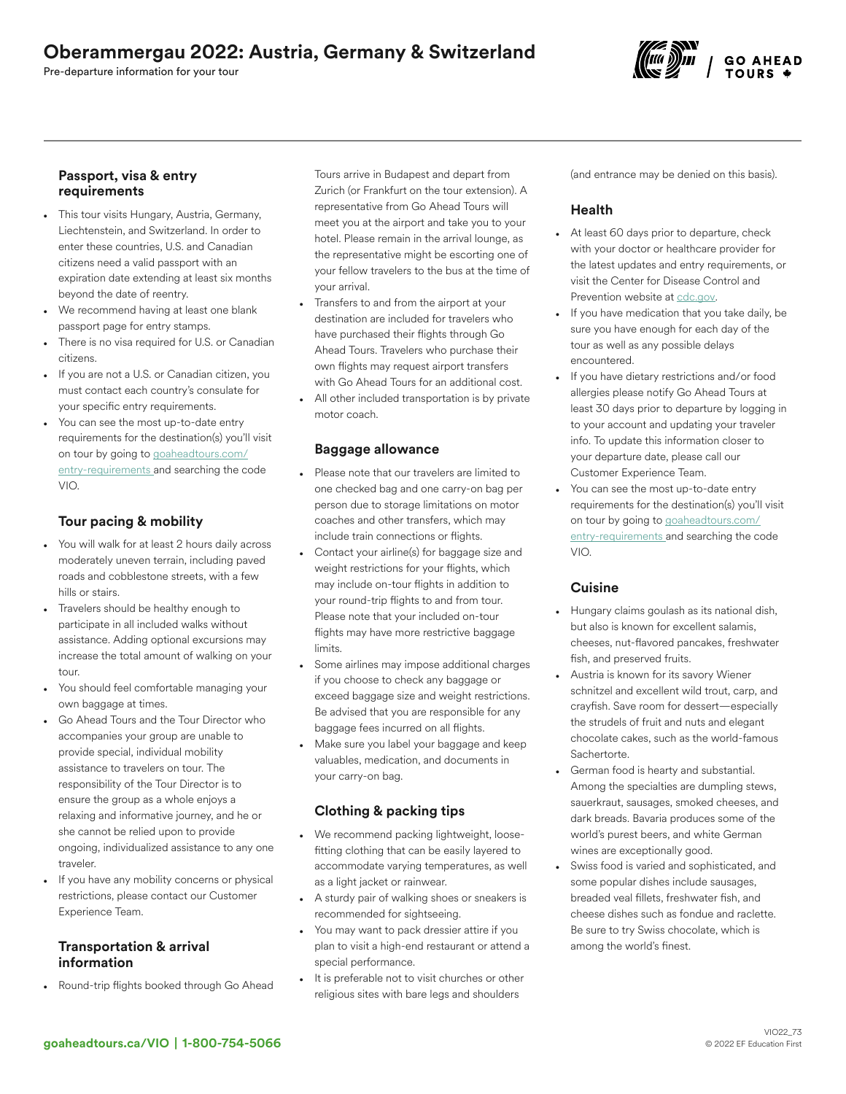# Oberammergau 2022: Austria, Germany & Switzerland

Pre-departure information for your tour

## Passport, visa & entry requirements

- This tour visits Hungary, Austria, Germany, Liechtenstein, and Switzerland. In order to enter these countries, U.S. and Canadian citizens need a valid passport with an expiration date extending at least six months beyond the date of reentry.
- We recommend having at least one blank passport page for entry stamps.
- There is no visa required for U.S. or Canadian citizens.
- If you are not a U.S. or Canadian citizen, you must contact each country's consulate for your specific entry requirements.
- You can see the most up-to-date entry requirements for the destination(s) you'll visit on tour by going to [goaheadtours.com/](/entry-requirements?tourCode=VIO) [entry-requirements](/entry-requirements?tourCode=VIO) and searching the code VIO.

# Tour pacing & mobility

- You will walk for at least 2 hours daily across moderately uneven terrain, including paved roads and cobblestone streets, with a few hills or stairs.
- Travelers should be healthy enough to participate in all included walks without assistance. Adding optional excursions may increase the total amount of walking on your tour.
- You should feel comfortable managing your own baggage at times.
- Go Ahead Tours and the Tour Director who accompanies your group are unable to provide special, individual mobility assistance to travelers on tour. The responsibility of the Tour Director is to ensure the group as a whole enjoys a relaxing and informative journey, and he or she cannot be relied upon to provide ongoing, individualized assistance to any one traveler.
- If you have any mobility concerns or physical restrictions, please contact our Customer Experience Team.

# Transportation & arrival information

• Round-trip flights booked through Go Ahead

Tours arrive in Budapest and depart from Zurich (or Frankfurt on the tour extension). A representative from Go Ahead Tours will meet you at the airport and take you to your hotel. Please remain in the arrival lounge, as the representative might be escorting one of your fellow travelers to the bus at the time of your arrival.

- Transfers to and from the airport at your destination are included for travelers who have purchased their flights through Go Ahead Tours. Travelers who purchase their own flights may request airport transfers with Go Ahead Tours for an additional cost.
- All other included transportation is by private motor coach.

# Baggage allowance

- Please note that our travelers are limited to one checked bag and one carry-on bag per person due to storage limitations on motor coaches and other transfers, which may include train connections or flights.
- Contact your airline(s) for baggage size and weight restrictions for your flights, which may include on-tour flights in addition to your round-trip flights to and from tour. Please note that your included on-tour flights may have more restrictive baggage limits.
- Some airlines may impose additional charges if you choose to check any baggage or exceed baggage size and weight restrictions. Be advised that you are responsible for any baggage fees incurred on all flights.
- Make sure you label your baggage and keep valuables, medication, and documents in your carry-on bag.

# Clothing & packing tips

- We recommend packing lightweight, loosefitting clothing that can be easily layered to accommodate varying temperatures, as well as a light jacket or rainwear.
- A sturdy pair of walking shoes or sneakers is recommended for sightseeing.
- You may want to pack dressier attire if you plan to visit a high-end restaurant or attend a special performance.
- It is preferable not to visit churches or other religious sites with bare legs and shoulders

(and entrance may be denied on this basis).

# Health

- At least 60 days prior to departure, check with your doctor or healthcare provider for the latest updates and entry requirements, or visit the Center for Disease Control and Prevention website at [cdc.gov.](https://www.cdc.gov/)
- If you have medication that you take daily, be sure you have enough for each day of the tour as well as any possible delays encountered.
- If you have dietary restrictions and/or food allergies please notify Go Ahead Tours at least 30 days prior to departure by logging in to your account and updating your traveler info. To update this information closer to your departure date, please call our Customer Experience Team.
- You can see the most up-to-date entry requirements for the destination(s) you'll visit on tour by going to [goaheadtours.com/](/entry-requirements?tourCode=VIO) [entry-requirements](/entry-requirements?tourCode=VIO) and searching the code VIO.

## **Cuisine**

- Hungary claims goulash as its national dish, but also is known for excellent salamis, cheeses, nut-flavored pancakes, freshwater fish, and preserved fruits.
- Austria is known for its savory Wiener schnitzel and excellent wild trout, carp, and crayfish. Save room for dessert—especially the strudels of fruit and nuts and elegant chocolate cakes, such as the world-famous Sachertorte.
- German food is hearty and substantial. Among the specialties are dumpling stews, sauerkraut, sausages, smoked cheeses, and dark breads. Bavaria produces some of the world's purest beers, and white German wines are exceptionally good.
- Swiss food is varied and sophisticated, and some popular dishes include sausages, breaded veal fillets, freshwater fish, and cheese dishes such as fondue and raclette. Be sure to try Swiss chocolate, which is among the world's finest.